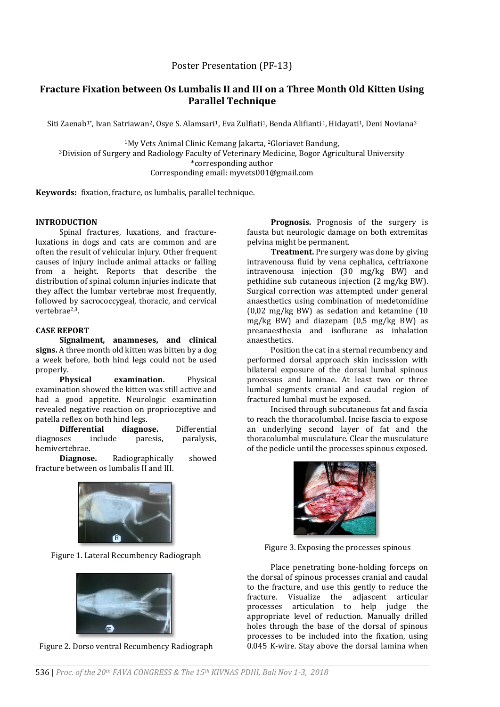# **Fracture Fixation between Os Lumbalis II and III on a Three Month Old Kitten Using Parallel Technique**

Siti Zaenab<sup>1</sup>\*, Ivan Satriawan<sup>2</sup>, Osye S. Alamsari<sup>1</sup>, Eva Zulfiati<sup>1</sup>, Benda Alifianti<sup>1</sup>, Hidayati<sup>1</sup>, Deni Noviana<sup>3</sup>

<sup>1</sup>My Vets Animal Clinic Kemang Jakarta, <sup>2</sup>Gloriavet Bandung, <sup>3</sup>Division of Surgery and Radiology Faculty of Veterinary Medicine, Bogor Agricultural University \*corresponding author Corresponding email: myvets001@gmail.com

**Keywords:** fixation, fracture, os lumbalis, parallel technique.

### **INTRODUCTION**

Spinal fractures, luxations, and fractureluxations in dogs and cats are common and are often the result of vehicular injury. Other frequent causes of injury include animal attacks or falling from a height. Reports that describe the distribution of spinal column injuries indicate that they affect the lumbar vertebrae most frequently, followed by sacrococcygeal, thoracic, and cervical vertebrae2,3.

# **CASE REPORT**

**Signalment, anamneses, and clinical signs.** A three month old kitten was bitten by a dog a week before, both hind legs could not be used properly.

**Physical examination.** Physical examination showed the kitten was still active and had a good appetite. Neurologic examination revealed negative reaction on proprioceptive and patella reflex on both hind legs.

**Differential diagnose.** Differential diagnoses include paresis, paralysis, hemivertebrae.

**Diagnose.** Radiographically showed fracture between os lumbalis II and III.



Figure 1. Lateral Recumbency Radiograph



Figure 2. Dorso ventral Recumbency Radiograph

**Prognosis.** Prognosis of the surgery is fausta but neurologic damage on both extremitas pelvina might be permanent.

**Treatment.** Pre surgery was done by giving intravenousa fluid by vena cephalica, ceftriaxone intravenousa injection (30 mg/kg BW) and pethidine sub cutaneous injection (2 mg/kg BW). Surgical correction was attempted under general anaesthetics using combination of medetomidine (0,02 mg/kg BW) as sedation and ketamine (10 mg/kg BW) and diazepam (0,5 mg/kg BW) as preanaesthesia and isoflurane as inhalation anaesthetics.

Position the cat in a sternal recumbency and performed dorsal approach skin incisssion with bilateral exposure of the dorsal lumbal spinous processus and laminae. At least two or three lumbal segments cranial and caudal region of fractured lumbal must be exposed.

Incised through subcutaneous fat and fascia to reach the thoracolumbal. Incise fascia to expose an underlying second layer of fat and the thoracolumbal musculature. Clear the musculature of the pedicle until the processes spinous exposed.



Figure 3. Exposing the processes spinous

Place penetrating bone-holding forceps on the dorsal of spinous processes cranial and caudal to the fracture, and use this gently to reduce the fracture. Visualize the adjascent articular processes articulation to help judge the appropriate level of reduction. Manually drilled holes through the base of the dorsal of spinous processes to be included into the fixation, using 0.045 K-wire. Stay above the dorsal lamina when